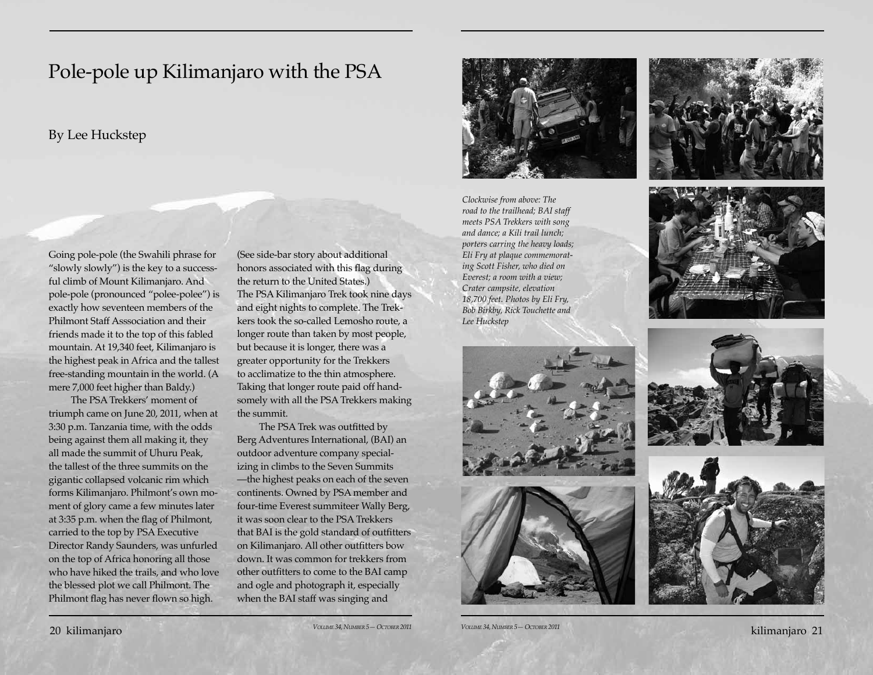## Pole-pole up Kilimanjaro with the PSA

## By Lee Huckstep

Going pole-pole (the Swahili phrase for "slowly slowly") is the key to a successful climb of Mount Kilimanjaro. And pole-pole (pronounced "polee-polee") is exactly how seventeen members of the Philmont Staff Asssociation and their friends made it to the top of this fabled mountain. At 19,340 feet, Kilimanjaro is the highest peak in Africa and the tallest free-standing mountain in the world. (A mere 7,000 feet higher than Baldy.)

The PSA Trekkers' moment of triumph came on June 20, 2011, when at 3:30 p.m. Tanzania time, with the odds being against them all making it, they all made the summit of Uhuru Peak, the tallest of the three summits on the gigantic collapsed volcanic rim which forms Kilimanjaro. Philmont's own moment of glory came a few minutes later at 3:35 p.m. when the flag of Philmont, carried to the top by PSA Executive Director Randy Saunders, was unfurled on the top of Africa honoring all those who have hiked the trails, and who love the blessed plot we call Philmont. The Philmont flag has never flown so high.

(See side-bar story about additional honors associated with this flag during the return to the United States.) The PSA Kilimanjaro Trek took nine days and eight nights to complete. The Trekkers took the so-called Lemosho route, a longer route than taken by most people, but because it is longer, there was a greater opportunity for the Trekkers to acclimatize to the thin atmosphere. Taking that longer route paid off handsomely with all the PSA Trekkers making the summit.

The PSA Trek was outfitted by Berg Adventures International, (BAI) an outdoor adventure company specializing in climbs to the Seven Summits —the highest peaks on each of the seven continents. Owned by PSA member and four-time Everest summiteer Wally Berg, it was soon clear to the PSA Trekkers that BAI is the gold standard of outfitters on Kilimanjaro. All other outfitters bow down. It was common for trekkers from other outfitters to come to the BAI camp and ogle and photograph it, especially when the BAI staff was singing and



*Clockwise from above: The road to the trailhead; BAI staff meets PSA Trekkers with song and dance; a Kili trail lunch; porters carring the heavy loads; Eli Fry at plaque commemorating Scott Fisher, who died on Everest; a room with a view; Crater campsite, elevation 18,700 feet. Photos by Eli Fry, Bob Birkby, Rick Touchette and Lee Huckstep*









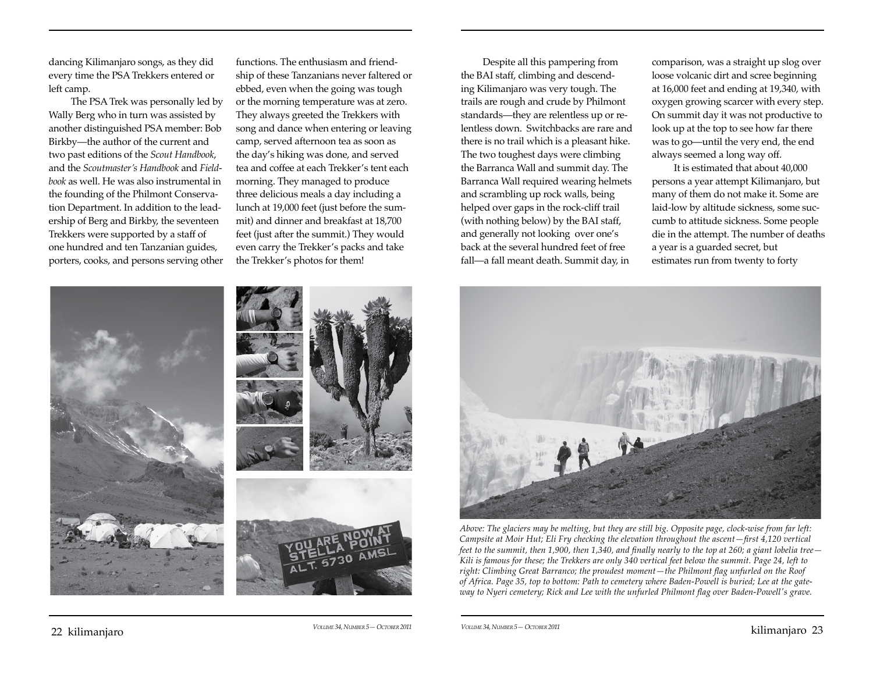dancing Kilimanjaro songs, as they did every time the PSA Trekkers entered or left camp.

The PSA Trek was personally led by Wally Berg who in turn was assisted by another distinguished PSA member: Bob Birkby—the author of the current and two past editions of the *Scout Handbook*, and the *Scoutmaster's Handbook* and *Fieldbook* as well. He was also instrumental in the founding of the Philmont Conservation Department. In addition to the leadership of Berg and Birkby, the seventeen Trekkers were supported by a staff of one hundred and ten Tanzanian guides, porters, cooks, and persons serving other functions. The enthusiasm and friendship of these Tanzanians never faltered or ebbed, even when the going was tough or the morning temperature was at zero. They always greeted the Trekkers with song and dance when entering or leaving camp, served afternoon tea as soon as the day's hiking was done, and served tea and coffee at each Trekker's tent each morning. They managed to produce three delicious meals a day including a lunch at 19,000 feet (just before the summit) and dinner and breakfast at 18,700 feet (just after the summit.) They would even carry the Trekker's packs and take the Trekker's photos for them!

Despite all this pampering from the BAI staff, climbing and descending Kilimanjaro was very tough. The trails are rough and crude by Philmont standards—they are relentless up or relentless down. Switchbacks are rare and there is no trail which is a pleasant hike. The two toughest days were climbing the Barranca Wall and summit day. The Barranca Wall required wearing helmets and scrambling up rock walls, being helped over gaps in the rock-cliff trail (with nothing below) by the BAI staff, and generally not looking over one's back at the several hundred feet of free fall—a fall meant death. Summit day, in

comparison, was a straight up slog over loose volcanic dirt and scree beginning at 16,000 feet and ending at 19,340, with oxygen growing scarcer with every step. On summit day it was not productive to look up at the top to see how far there was to go—until the very end, the end always seemed a long way off.

It is estimated that about 40,000 persons a year attempt Kilimanjaro, but many of them do not make it. Some are laid-low by altitude sickness, some succumb to attitude sickness. Some people die in the attempt. The number of deaths a year is a guarded secret, but estimates run from twenty to forty



*Above: The glaciers may be melting, but they are still big. Opposite page, clock-wise from far left: Campsite at Moir Hut; Eli Fry checking the elevation throughout the ascent—first 4,120 vertical feet to the summit, then 1,900, then 1,340, and finally nearly to the top at 260; a giant lobelia tree— Kili is famous for these; the Trekkers are only 340 vertical feet below the summit. Page 24, left to right: Climbing Great Barranco; the proudest moment—the Philmont flag unfurled on the Roof of Africa. Page 35, top to bottom: Path to cemetery where Baden-Powell is buried; Lee at the gateway to Nyeri cemetery; Rick and Lee with the unfurled Philmont flag over Baden-Powell's grave.*